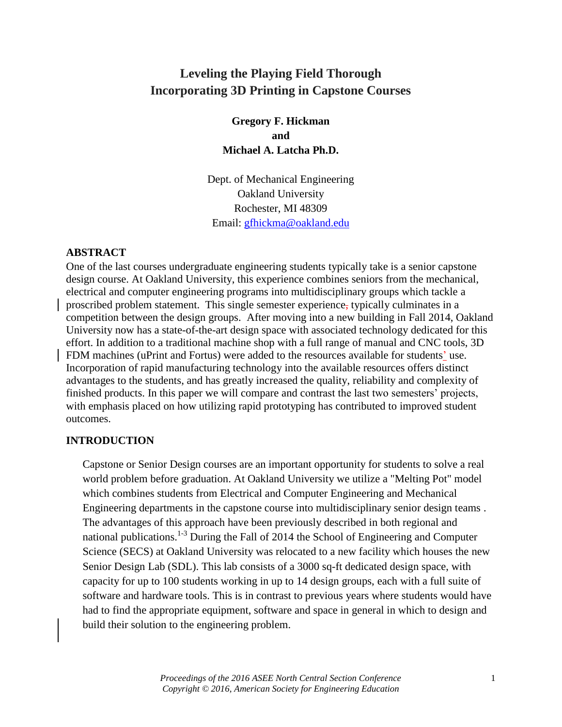# **Leveling the Playing Field Thorough Incorporating 3D Printing in Capstone Courses**

**Gregory F. Hickman and Michael A. Latcha Ph.D.**

Dept. of Mechanical Engineering Oakland University Rochester, MI 48309 Email: [gfhickma@oakland.edu](mailto:gfhickma@oakland.edu)

#### **ABSTRACT**

One of the last courses undergraduate engineering students typically take is a senior capstone design course. At Oakland University, this experience combines seniors from the mechanical, electrical and computer engineering programs into multidisciplinary groups which tackle a proscribed problem statement. This single semester experience, typically culminates in a competition between the design groups. After moving into a new building in Fall 2014, Oakland University now has a state-of-the-art design space with associated technology dedicated for this effort. In addition to a traditional machine shop with a full range of manual and CNC tools, 3D FDM machines (uPrint and Fortus) were added to the resources available for students' use. Incorporation of rapid manufacturing technology into the available resources offers distinct advantages to the students, and has greatly increased the quality, reliability and complexity of finished products. In this paper we will compare and contrast the last two semesters' projects, with emphasis placed on how utilizing rapid prototyping has contributed to improved student outcomes.

#### **INTRODUCTION**

Capstone or Senior Design courses are an important opportunity for students to solve a real world problem before graduation. At Oakland University we utilize a "Melting Pot" model which combines students from Electrical and Computer Engineering and Mechanical Engineering departments in the capstone course into multidisciplinary senior design teams . The advantages of this approach have been previously described in both regional and national publications.<sup>1-3</sup> During the Fall of 2014 the School of Engineering and Computer Science (SECS) at Oakland University was relocated to a new facility which houses the new Senior Design Lab (SDL). This lab consists of a 3000 sq-ft dedicated design space, with capacity for up to 100 students working in up to 14 design groups, each with a full suite of software and hardware tools. This is in contrast to previous years where students would have had to find the appropriate equipment, software and space in general in which to design and build their solution to the engineering problem.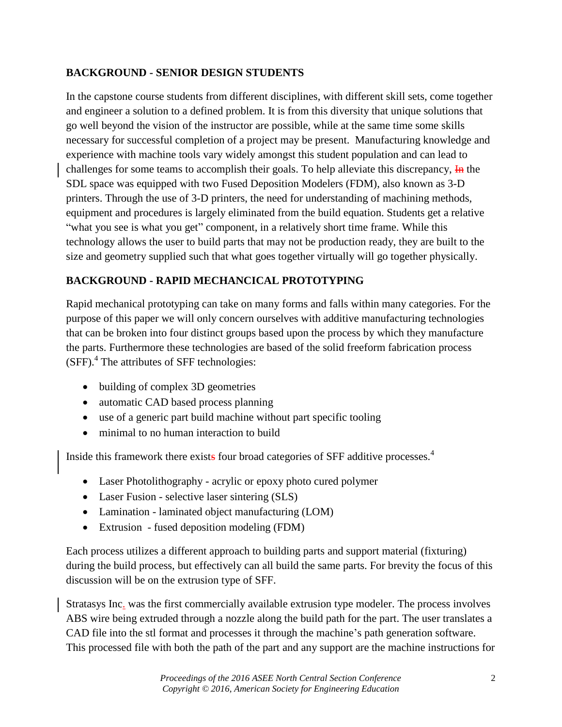## **BACKGROUND - SENIOR DESIGN STUDENTS**

In the capstone course students from different disciplines, with different skill sets, come together and engineer a solution to a defined problem. It is from this diversity that unique solutions that go well beyond the vision of the instructor are possible, while at the same time some skills necessary for successful completion of a project may be present. Manufacturing knowledge and experience with machine tools vary widely amongst this student population and can lead to challenges for some teams to accomplish their goals. To help alleviate this discrepancy,  $\overline{H}$  the SDL space was equipped with two Fused Deposition Modelers (FDM), also known as 3-D printers. Through the use of 3-D printers, the need for understanding of machining methods, equipment and procedures is largely eliminated from the build equation. Students get a relative "what you see is what you get" component, in a relatively short time frame. While this technology allows the user to build parts that may not be production ready, they are built to the size and geometry supplied such that what goes together virtually will go together physically.

# **BACKGROUND - RAPID MECHANCICAL PROTOTYPING**

Rapid mechanical prototyping can take on many forms and falls within many categories. For the purpose of this paper we will only concern ourselves with additive manufacturing technologies that can be broken into four distinct groups based upon the process by which they manufacture the parts. Furthermore these technologies are based of the solid freeform fabrication process  $(SFF).$ <sup>4</sup> The attributes of SFF technologies:

- building of complex 3D geometries
- automatic CAD based process planning
- use of a generic part build machine without part specific tooling
- minimal to no human interaction to build

Inside this framework there exists four broad categories of SFF additive processes.<sup>4</sup>

- Laser Photolithography acrylic or epoxy photo cured polymer
- Laser Fusion selective laser sintering (SLS)
- Lamination laminated object manufacturing (LOM)
- Extrusion fused deposition modeling (FDM)

Each process utilizes a different approach to building parts and support material (fixturing) during the build process, but effectively can all build the same parts. For brevity the focus of this discussion will be on the extrusion type of SFF.

Stratasys Inc. was the first commercially available extrusion type modeler. The process involves ABS wire being extruded through a nozzle along the build path for the part. The user translates a CAD file into the stl format and processes it through the machine's path generation software. This processed file with both the path of the part and any support are the machine instructions for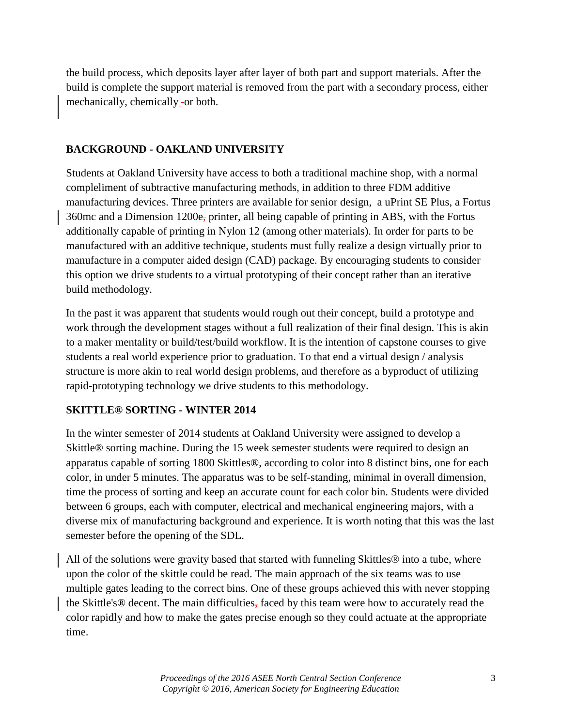the build process, which deposits layer after layer of both part and support materials. After the build is complete the support material is removed from the part with a secondary process, either mechanically, chemically -or both.

#### **BACKGROUND - OAKLAND UNIVERSITY**

Students at Oakland University have access to both a traditional machine shop, with a normal compleliment of subtractive manufacturing methods, in addition to three FDM additive manufacturing devices. Three printers are available for senior design, a uPrint SE Plus, a Fortus 360mc and a Dimension 1200e, printer, all being capable of printing in ABS, with the Fortus additionally capable of printing in Nylon 12 (among other materials). In order for parts to be manufactured with an additive technique, students must fully realize a design virtually prior to manufacture in a computer aided design (CAD) package. By encouraging students to consider this option we drive students to a virtual prototyping of their concept rather than an iterative build methodology.

In the past it was apparent that students would rough out their concept, build a prototype and work through the development stages without a full realization of their final design. This is akin to a maker mentality or build/test/build workflow. It is the intention of capstone courses to give students a real world experience prior to graduation. To that end a virtual design / analysis structure is more akin to real world design problems, and therefore as a byproduct of utilizing rapid-prototyping technology we drive students to this methodology.

## **SKITTLE® SORTING - WINTER 2014**

In the winter semester of 2014 students at Oakland University were assigned to develop a Skittle® sorting machine. During the 15 week semester students were required to design an apparatus capable of sorting 1800 Skittles®, according to color into 8 distinct bins, one for each color, in under 5 minutes. The apparatus was to be self-standing, minimal in overall dimension, time the process of sorting and keep an accurate count for each color bin. Students were divided between 6 groups, each with computer, electrical and mechanical engineering majors, with a diverse mix of manufacturing background and experience. It is worth noting that this was the last semester before the opening of the SDL.

All of the solutions were gravity based that started with funneling Skittles® into a tube, where upon the color of the skittle could be read. The main approach of the six teams was to use multiple gates leading to the correct bins. One of these groups achieved this with never stopping the Skittle's® decent. The main difficulties, faced by this team were how to accurately read the color rapidly and how to make the gates precise enough so they could actuate at the appropriate time.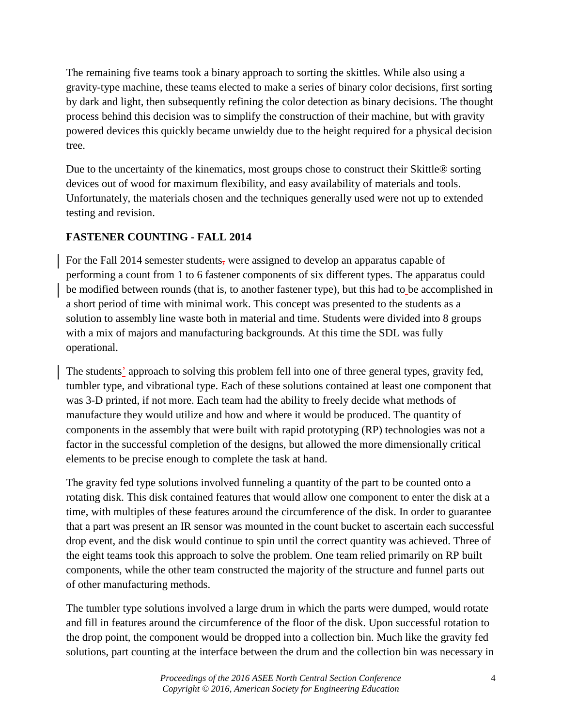The remaining five teams took a binary approach to sorting the skittles. While also using a gravity-type machine, these teams elected to make a series of binary color decisions, first sorting by dark and light, then subsequently refining the color detection as binary decisions. The thought process behind this decision was to simplify the construction of their machine, but with gravity powered devices this quickly became unwieldy due to the height required for a physical decision tree.

Due to the uncertainty of the kinematics, most groups chose to construct their Skittle® sorting devices out of wood for maximum flexibility, and easy availability of materials and tools. Unfortunately, the materials chosen and the techniques generally used were not up to extended testing and revision.

## **FASTENER COUNTING - FALL 2014**

For the Fall 2014 semester students, were assigned to develop an apparatus capable of performing a count from 1 to 6 fastener components of six different types. The apparatus could be modified between rounds (that is, to another fastener type), but this had to be accomplished in a short period of time with minimal work. This concept was presented to the students as a solution to assembly line waste both in material and time. Students were divided into 8 groups with a mix of majors and manufacturing backgrounds. At this time the SDL was fully operational.

The students' approach to solving this problem fell into one of three general types, gravity fed, tumbler type, and vibrational type. Each of these solutions contained at least one component that was 3-D printed, if not more. Each team had the ability to freely decide what methods of manufacture they would utilize and how and where it would be produced. The quantity of components in the assembly that were built with rapid prototyping (RP) technologies was not a factor in the successful completion of the designs, but allowed the more dimensionally critical elements to be precise enough to complete the task at hand.

The gravity fed type solutions involved funneling a quantity of the part to be counted onto a rotating disk. This disk contained features that would allow one component to enter the disk at a time, with multiples of these features around the circumference of the disk. In order to guarantee that a part was present an IR sensor was mounted in the count bucket to ascertain each successful drop event, and the disk would continue to spin until the correct quantity was achieved. Three of the eight teams took this approach to solve the problem. One team relied primarily on RP built components, while the other team constructed the majority of the structure and funnel parts out of other manufacturing methods.

The tumbler type solutions involved a large drum in which the parts were dumped, would rotate and fill in features around the circumference of the floor of the disk. Upon successful rotation to the drop point, the component would be dropped into a collection bin. Much like the gravity fed solutions, part counting at the interface between the drum and the collection bin was necessary in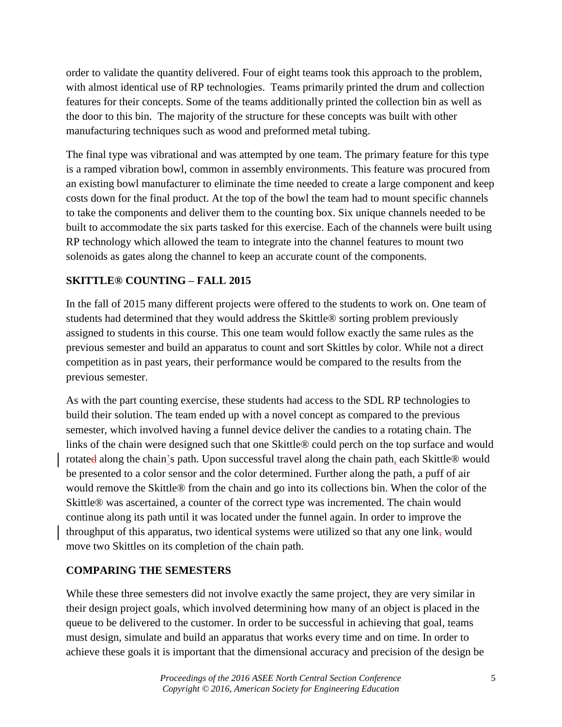order to validate the quantity delivered. Four of eight teams took this approach to the problem, with almost identical use of RP technologies. Teams primarily printed the drum and collection features for their concepts. Some of the teams additionally printed the collection bin as well as the door to this bin. The majority of the structure for these concepts was built with other manufacturing techniques such as wood and preformed metal tubing.

The final type was vibrational and was attempted by one team. The primary feature for this type is a ramped vibration bowl, common in assembly environments. This feature was procured from an existing bowl manufacturer to eliminate the time needed to create a large component and keep costs down for the final product. At the top of the bowl the team had to mount specific channels to take the components and deliver them to the counting box. Six unique channels needed to be built to accommodate the six parts tasked for this exercise. Each of the channels were built using RP technology which allowed the team to integrate into the channel features to mount two solenoids as gates along the channel to keep an accurate count of the components.

## **SKITTLE® COUNTING – FALL 2015**

In the fall of 2015 many different projects were offered to the students to work on. One team of students had determined that they would address the Skittle® sorting problem previously assigned to students in this course. This one team would follow exactly the same rules as the previous semester and build an apparatus to count and sort Skittles by color. While not a direct competition as in past years, their performance would be compared to the results from the previous semester.

As with the part counting exercise, these students had access to the SDL RP technologies to build their solution. The team ended up with a novel concept as compared to the previous semester, which involved having a funnel device deliver the candies to a rotating chain. The links of the chain were designed such that one Skittle® could perch on the top surface and would rotated along the chain's path. Upon successful travel along the chain path, each Skittle® would be presented to a color sensor and the color determined. Further along the path, a puff of air would remove the Skittle® from the chain and go into its collections bin. When the color of the Skittle® was ascertained, a counter of the correct type was incremented. The chain would continue along its path until it was located under the funnel again. In order to improve the throughput of this apparatus, two identical systems were utilized so that any one link, would move two Skittles on its completion of the chain path.

#### **COMPARING THE SEMESTERS**

While these three semesters did not involve exactly the same project, they are very similar in their design project goals, which involved determining how many of an object is placed in the queue to be delivered to the customer. In order to be successful in achieving that goal, teams must design, simulate and build an apparatus that works every time and on time. In order to achieve these goals it is important that the dimensional accuracy and precision of the design be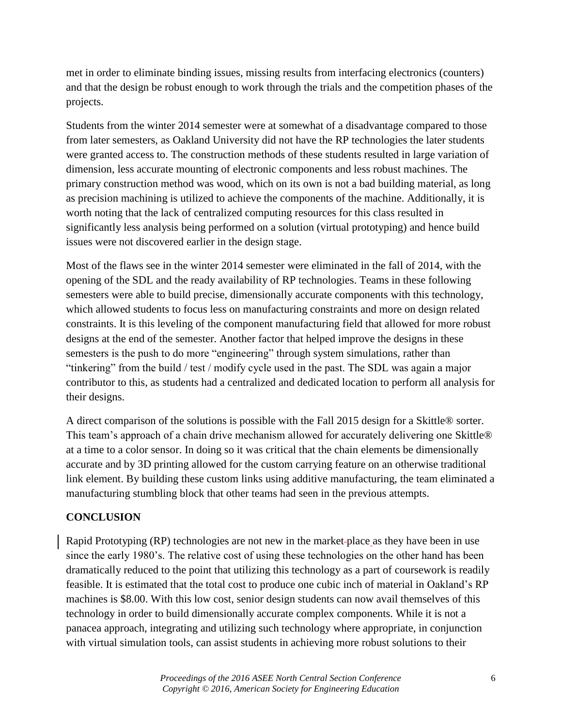met in order to eliminate binding issues, missing results from interfacing electronics (counters) and that the design be robust enough to work through the trials and the competition phases of the projects.

Students from the winter 2014 semester were at somewhat of a disadvantage compared to those from later semesters, as Oakland University did not have the RP technologies the later students were granted access to. The construction methods of these students resulted in large variation of dimension, less accurate mounting of electronic components and less robust machines. The primary construction method was wood, which on its own is not a bad building material, as long as precision machining is utilized to achieve the components of the machine. Additionally, it is worth noting that the lack of centralized computing resources for this class resulted in significantly less analysis being performed on a solution (virtual prototyping) and hence build issues were not discovered earlier in the design stage.

Most of the flaws see in the winter 2014 semester were eliminated in the fall of 2014, with the opening of the SDL and the ready availability of RP technologies. Teams in these following semesters were able to build precise, dimensionally accurate components with this technology, which allowed students to focus less on manufacturing constraints and more on design related constraints. It is this leveling of the component manufacturing field that allowed for more robust designs at the end of the semester. Another factor that helped improve the designs in these semesters is the push to do more "engineering" through system simulations, rather than "tinkering" from the build / test / modify cycle used in the past. The SDL was again a major contributor to this, as students had a centralized and dedicated location to perform all analysis for their designs.

A direct comparison of the solutions is possible with the Fall 2015 design for a Skittle® sorter. This team's approach of a chain drive mechanism allowed for accurately delivering one Skittle® at a time to a color sensor. In doing so it was critical that the chain elements be dimensionally accurate and by 3D printing allowed for the custom carrying feature on an otherwise traditional link element. By building these custom links using additive manufacturing, the team eliminated a manufacturing stumbling block that other teams had seen in the previous attempts.

#### **CONCLUSION**

Rapid Prototyping (RP) technologies are not new in the market place as they have been in use since the early 1980's. The relative cost of using these technologies on the other hand has been dramatically reduced to the point that utilizing this technology as a part of coursework is readily feasible. It is estimated that the total cost to produce one cubic inch of material in Oakland's RP machines is \$8.00. With this low cost, senior design students can now avail themselves of this technology in order to build dimensionally accurate complex components. While it is not a panacea approach, integrating and utilizing such technology where appropriate, in conjunction with virtual simulation tools, can assist students in achieving more robust solutions to their